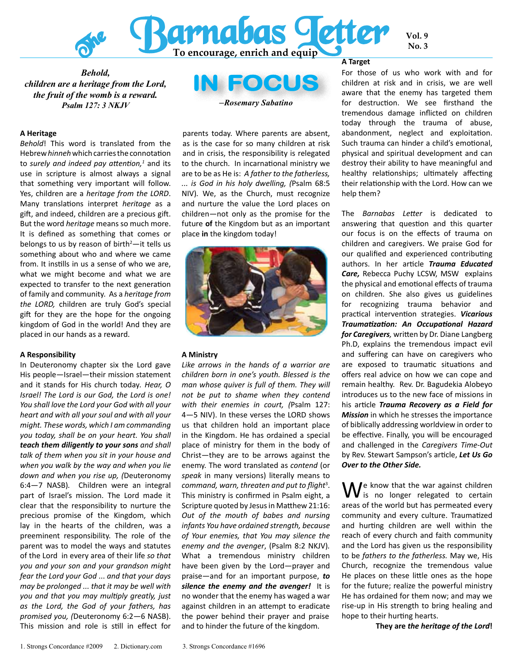

*Behold, children are a heritage from the Lord, the fruit of the womb is a reward. Psalm 127: 3 NKJV*

#### **A Heritage**

*Behold*! This word is translated from the Hebrew *hinneh* which carries the connotation to *surely and indeed pay attention*,<sup>1</sup> and its use in scripture is almost always a signal that something very important will follow. Yes, children are a *heritage from the LORD*. Many translations interpret *heritage* as a gift, and indeed, children are a precious gift. But the word *heritage* means so much more. It is defined as something that comes or belongs to us by reason of birth $2$ —it tells us something about who and where we came from. It instills in us a sense of who we are, what we might become and what we are expected to transfer to the next generation of family and community. As a *heritage from the LORD,* children are truly God's special gift for they are the hope for the ongoing kingdom of God in the world! And they are placed in our hands as a reward.

#### **A Responsibility**

In Deuteronomy chapter six the Lord gave His people—Israel—their mission statement and it stands for His church today*. Hear, O Israel! The Lord is our God, the Lord is one! You shall love the Lord your God with all your heart and with all your soul and with all your might. These words, which I am commanding you today, shall be on your heart. You shall teach them diligently to your sons and shall talk of them when you sit in your house and when you walk by the way and when you lie down and when you rise up, (*Deuteronomy 6:4—7 NASB)*.* Children were an integral part of Israel's mission. The Lord made it clear that the responsibility to nurture the precious promise of the Kingdom, which lay in the hearts of the children, was a preeminent responsibility. The role of the parent was to model the ways and statutes of the Lord in every area of their life *so that you and your son and your grandson might fear the Lord your God* ... *and that your days may be prolonged ... that it may be well with you and that you may multiply greatly, just as the Lord, the God of your fathers, has promised you, (*Deuteronomy 6:2—6 NASB). This mission and role is still in effect for

IN FOCUS *–Rosemary Sabatino*

parents today. Where parents are absent, as is the case for so many children at risk and in crisis, the responsibility is relegated to the church. In incarnational ministry we are to be as He is: *A father to the fatherless, ... is God in his holy dwelling, (*Psalm 68:5 NIV)*.* We, as the Church, must recognize and nurture the value the Lord places on children—not only as the promise for the future **of** the Kingdom but as an important place **in** the kingdom today!



#### **A Ministry**

*Like arrows in the hands of a warrior are children born in one's youth. Blessed is the man whose quiver is full of them. They will not be put to shame when they contend with their enemies in court, (*Psalm 127: 4—5 NIV). In these verses the LORD shows us that children hold an important place in the Kingdom. He has ordained a special place of ministry for them in the body of Christ—they are to be arrows against the enemy. The word translated as *contend* (or *speak* in many versions) literally means to command, warn, threaten and put to flight<sup>3</sup>. This ministry is confirmed in Psalm eight, a Scripture quoted by Jesus in Matthew 21:16: *Out of the mouth of babes and nursing infants You have ordained strength, because of Your enemies, that You may silence the enemy and the avenger*, (Psalm 8:2 NKJV)*.*  What a tremendous ministry children have been given by the Lord—prayer and praise—and for an important purpose, *to silence the enemy and the avenger!* It is no wonder that the enemy has waged a war against children in an attempt to eradicate the power behind their prayer and praise and to hinder the future of the kingdom.

#### **A Target**

For those of us who work with and for children at risk and in crisis, we are well aware that the enemy has targeted them for destruction. We see firsthand the tremendous damage inflicted on children today through the trauma of abuse, abandonment, neglect and exploitation. Such trauma can hinder a child's emotional, physical and spiritual development and can destroy their ability to have meaningful and healthy relationships; ultimately affecting their relationship with the Lord. How can we help them?

**Vol. 9**

The *Barnabas Letter* is dedicated to answering that question and this quarter our focus is on the effects of trauma on children and caregivers. We praise God for our qualified and experienced contributing authors. In her article *Trauma Educated Care,* Rebecca Puchy LCSW, MSW explains the physical and emotional effects of trauma on children. She also gives us guidelines for recognizing trauma behavior and practical intervention strategies. *Vicarious Traumatization: An Occupational Hazard for Caregivers,* written by Dr. Diane Langberg Ph.D, explains the tremendous impact evil and suffering can have on caregivers who are exposed to traumatic situations and offers real advice on how we can cope and remain healthy. Rev. Dr. Bagudekia Alobeyo introduces us to the new face of missions in his article *Trauma Recovery as a Field for Mission* in which he stresses the importance of biblically addressing worldview in order to be effective. Finally, you will be encouraged and challenged in the *Caregivers Time-Out*  by Rev. Stewart Sampson's article, *Let Us Go Over to the Other Side.* 

We know that the war against children<br>Wis no longer relegated to certain areas of the world but has permeated every community and every culture. Traumatized and hurting children are well within the reach of every church and faith community and the Lord has given us the responsibility to be *fathers to the fatherless.* May we, His Church, recognize the tremendous value He places on these little ones as the hope for the future; realize the powerful ministry He has ordained for them now; and may we rise-up in His strength to bring healing and hope to their hurting hearts.

**They are** *the heritage of the Lord***!**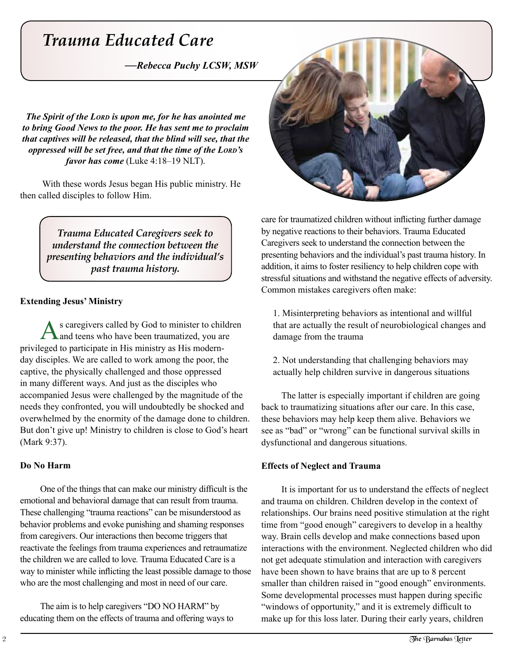# *Trauma Educated Care*

*—Rebecca Puchy LCSW, MSW*

*The Spirit of the LORD is upon me, for he has anointed me to bring Good News to the poor. He has sent me to proclaim that captives will be released, that the blind will see, that the oppressed will be set free, and that the time of the LORD's favor has come* (Luke 4:18–19 NLT).

With these words Jesus began His public ministry. He then called disciples to follow Him.

> *Trauma Educated Caregivers seek to understand the connection between the presenting behaviors and the individual's past trauma history.*

#### **Extending Jesus' Ministry**

s caregivers called by God to minister to children and teens who have been traumatized, you are privileged to participate in His ministry as His modernday disciples. We are called to work among the poor, the captive, the physically challenged and those oppressed in many different ways. And just as the disciples who accompanied Jesus were challenged by the magnitude of the needs they confronted, you will undoubtedly be shocked and overwhelmed by the enormity of the damage done to children. But don't give up! Ministry to children is close to God's heart (Mark 9:37).

### **Do No Harm**

One of the things that can make our ministry difficult is the emotional and behavioral damage that can result from trauma. These challenging "trauma reactions" can be misunderstood as behavior problems and evoke punishing and shaming responses from caregivers. Our interactions then become triggers that reactivate the feelings from trauma experiences and retraumatize the children we are called to love*.* Trauma Educated Care is a way to minister while inflicting the least possible damage to those who are the most challenging and most in need of our care.

The aim is to help caregivers "DO NO HARM" by educating them on the effects of trauma and offering ways to



care for traumatized children without inflicting further damage by negative reactions to their behaviors. Trauma Educated Caregivers seek to understand the connection between the presenting behaviors and the individual's past trauma history. In addition, it aims to foster resiliency to help children cope with stressful situations and withstand the negative effects of adversity. Common mistakes caregivers often make:

1. Misinterpreting behaviors as intentional and willful that are actually the result of neurobiological changes and damage from the trauma

2. Not understanding that challenging behaviors may actually help children survive in dangerous situations

The latter is especially important if children are going back to traumatizing situations after our care. In this case, these behaviors may help keep them alive. Behaviors we see as "bad" or "wrong" can be functional survival skills in dysfunctional and dangerous situations.

### **Effects of Neglect and Trauma**

It is important for us to understand the effects of neglect and trauma on children. Children develop in the context of relationships. Our brains need positive stimulation at the right time from "good enough" caregivers to develop in a healthy way. Brain cells develop and make connections based upon interactions with the environment. Neglected children who did not get adequate stimulation and interaction with caregivers have been shown to have brains that are up to 8 percent smaller than children raised in "good enough" environments. Some developmental processes must happen during specific "windows of opportunity," and it is extremely difficult to make up for this loss later. During their early years, children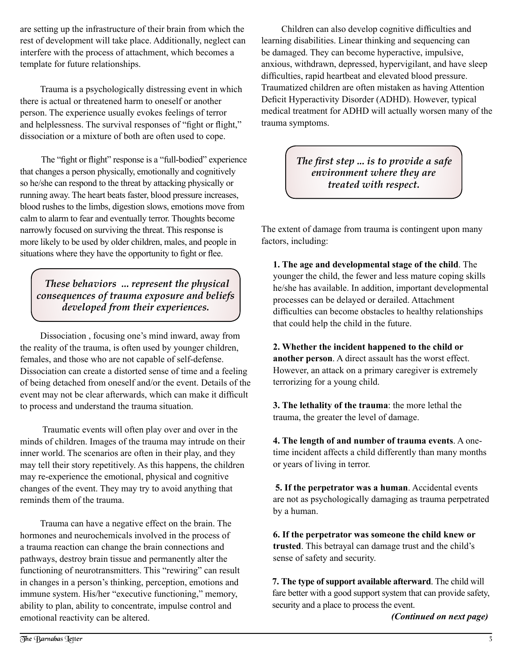are setting up the infrastructure of their brain from which the rest of development will take place. Additionally, neglect can interfere with the process of attachment, which becomes a template for future relationships.

Trauma is a psychologically distressing event in which there is actual or threatened harm to oneself or another person. The experience usually evokes feelings of terror and helplessness. The survival responses of "fight or flight," dissociation or a mixture of both are often used to cope.

The "fight or flight" response is a "full-bodied" experience that changes a person physically, emotionally and cognitively so he/she can respond to the threat by attacking physically or running away. The heart beats faster, blood pressure increases, blood rushes to the limbs, digestion slows, emotions move from calm to alarm to fear and eventually terror. Thoughts become narrowly focused on surviving the threat. This response is more likely to be used by older children, males, and people in situations where they have the opportunity to fight or flee.

*These behaviors ... represent the physical consequences of trauma exposure and beliefs developed from their experiences.*

Dissociation , focusing one's mind inward, away from the reality of the trauma, is often used by younger children, females, and those who are not capable of self-defense. Dissociation can create a distorted sense of time and a feeling of being detached from oneself and/or the event. Details of the event may not be clear afterwards, which can make it difficult to process and understand the trauma situation.

 Traumatic events will often play over and over in the minds of children. Images of the trauma may intrude on their inner world. The scenarios are often in their play, and they may tell their story repetitively. As this happens, the children may re-experience the emotional, physical and cognitive changes of the event. They may try to avoid anything that reminds them of the trauma.

Trauma can have a negative effect on the brain. The hormones and neurochemicals involved in the process of a trauma reaction can change the brain connections and pathways, destroy brain tissue and permanently alter the functioning of neurotransmitters. This "rewiring" can result in changes in a person's thinking, perception, emotions and immune system. His/her "executive functioning," memory, ability to plan, ability to concentrate, impulse control and emotional reactivity can be altered.

Children can also develop cognitive difficulties and learning disabilities. Linear thinking and sequencing can be damaged. They can become hyperactive, impulsive, anxious, withdrawn, depressed, hypervigilant, and have sleep difficulties, rapid heartbeat and elevated blood pressure. Traumatized children are often mistaken as having Attention Deficit Hyperactivity Disorder (ADHD). However, typical medical treatment for ADHD will actually worsen many of the trauma symptoms.

> *The first step ... is to provide a safe environment where they are treated with respect.*

The extent of damage from trauma is contingent upon many factors, including:

**1. The age and developmental stage of the child**. The younger the child, the fewer and less mature coping skills he/she has available. In addition, important developmental processes can be delayed or derailed. Attachment difficulties can become obstacles to healthy relationships that could help the child in the future.

**2. Whether the incident happened to the child or another person**. A direct assault has the worst effect. However, an attack on a primary caregiver is extremely terrorizing for a young child.

**3. The lethality of the trauma**: the more lethal the trauma, the greater the level of damage.

**4. The length of and number of trauma events**. A onetime incident affects a child differently than many months or years of living in terror.

**5. If the perpetrator was a human**. Accidental events are not as psychologically damaging as trauma perpetrated by a human.

**6. If the perpetrator was someone the child knew or trusted**. This betrayal can damage trust and the child's sense of safety and security.

**7. The type of support available afterward**. The child will fare better with a good support system that can provide safety, security and a place to process the event.

*(Continued on next page)*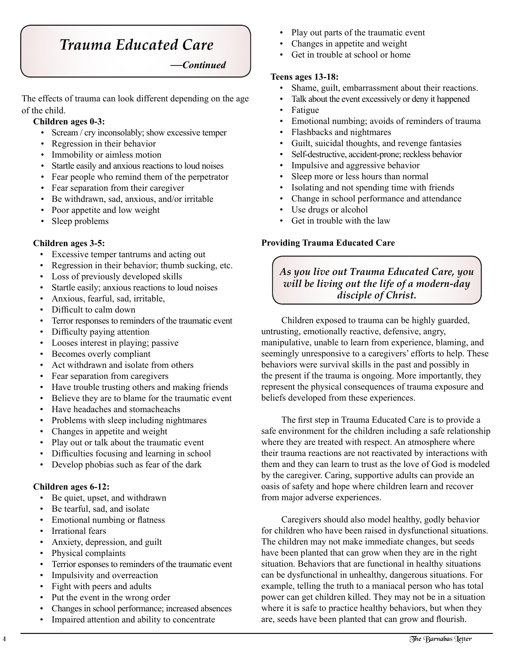# *Trauma Educated Care*

*—Continued*

The effects of trauma can look different depending on the age of the child.

# **Children ages 0-3:**

- Scream / cry inconsolably; show excessive temper
- Regression in their behavior
- Immobility or aimless motion
- Startle easily and anxious reactions to loud noises
- Fear people who remind them of the perpetrator
- Fear separation from their caregiver
- Be withdrawn, sad, anxious, and/or irritable
- Poor appetite and low weight
- Sleep problems

### **Children ages 3-5:**

- Excessive temper tantrums and acting out
- Regression in their behavior; thumb sucking, etc.
- Loss of previously developed skills
- Startle easily; anxious reactions to loud noises
- Anxious, fearful, sad, irritable,
- Difficult to calm down
- Terror responses to reminders of the traumatic event
- Difficulty paying attention
- Looses interest in playing; passive
- Becomes overly compliant
- Act withdrawn and isolate from others
- Fear separation from caregivers
- Have trouble trusting others and making friends
- Believe they are to blame for the traumatic event
- Have headaches and stomacheachs
- Problems with sleep including nightmares
- Changes in appetite and weight
- Play out or talk about the traumatic event
- Difficulties focusing and learning in school
- Develop phobias such as fear of the dark

#### **Children ages 6-12:**

- Be quiet, upset, and withdrawn
- Be tearful, sad, and isolate
- Emotional numbing or flatness
- Irrational fears
- Anxiety, depression, and guilt
- Physical complaints
- Terrior esponses to reminders of the traumatic event
- Impulsivity and overreaction
- Fight with peers and adults
- Put the event in the wrong order
- Changes in school performance; increased absences
- Impaired attention and ability to concentrate
- Play out parts of the traumatic event
- Changes in appetite and weight
- Get in trouble at school or home

#### **Teens ages 13-18:**

- Shame, guilt, embarrassment about their reactions.
- Talk about the event excessively or deny it happened
- Fatigue
- Emotional numbing; avoids of reminders of trauma
- Flashbacks and nightmares
- Guilt, suicidal thoughts, and revenge fantasies
- Self-destructive, accident-prone; reckless behavior
- Impulsive and aggressive behavior
- Sleep more or less hours than normal
- Isolating and not spending time with friends
- Change in school performance and attendance
- Use drugs or alcohol
- Get in trouble with the law

#### **Providing Trauma Educated Care**

## *As you live out Trauma Educated Care, you will be living out the life of a modern-day disciple of Christ.*

Children exposed to trauma can be highly guarded, untrusting, emotionally reactive, defensive, angry, manipulative, unable to learn from experience, blaming, and seemingly unresponsive to a caregivers' efforts to help. These behaviors were survival skills in the past and possibly in the present if the trauma is ongoing. More importantly, they represent the physical consequences of trauma exposure and beliefs developed from these experiences.

The first step in Trauma Educated Care is to provide a safe environment for the children including a safe relationship where they are treated with respect. An atmosphere where their trauma reactions are not reactivated by interactions with them and they can learn to trust as the love of God is modeled by the caregiver. Caring, supportive adults can provide an oasis of safety and hope where children learn and recover from major adverse experiences.

Caregivers should also model healthy, godly behavior for children who have been raised in dysfunctional situations. The children may not make immediate changes, but seeds have been planted that can grow when they are in the right situation. Behaviors that are functional in healthy situations can be dysfunctional in unhealthy, dangerous situations. For example, telling the truth to a maniacal person who has total power can get children killed. They may not be in a situation where it is safe to practice healthy behaviors, but when they are, seeds have been planted that can grow and flourish.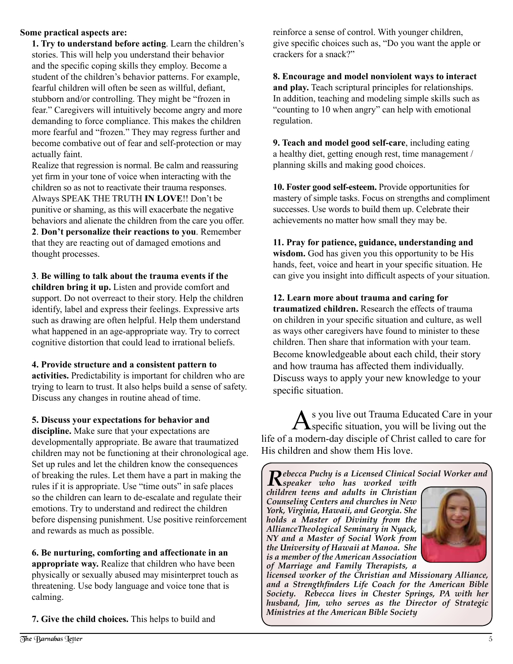#### **Some practical aspects are:**

**1. Try to understand before acting**. Learn the children's stories. This will help you understand their behavior and the specific coping skills they employ. Become a student of the children's behavior patterns. For example, fearful children will often be seen as willful, defiant, stubborn and/or controlling. They might be "frozen in fear." Caregivers will intuitively become angry and more demanding to force compliance. This makes the children more fearful and "frozen." They may regress further and become combative out of fear and self-protection or may actually faint.

Realize that regression is normal. Be calm and reassuring yet firm in your tone of voice when interacting with the children so as not to reactivate their trauma responses. Always SPEAK THE TRUTH **IN LOVE**!! Don't be punitive or shaming, as this will exacerbate the negative behaviors and alienate the children from the care you offer. **2**. **Don't personalize their reactions to you**. Remember that they are reacting out of damaged emotions and thought processes.

**3**. **Be willing to talk about the trauma events if the children bring it up.** Listen and provide comfort and support. Do not overreact to their story. Help the children identify, label and express their feelings. Expressive arts such as drawing are often helpful. Help them understand what happened in an age-appropriate way. Try to correct cognitive distortion that could lead to irrational beliefs.

**4. Provide structure and a consistent pattern to activities.** Predictability is important for children who are trying to learn to trust. It also helps build a sense of safety. Discuss any changes in routine ahead of time.

**5. Discuss your expectations for behavior and** 

**discipline.** Make sure that your expectations are developmentally appropriate. Be aware that traumatized children may not be functioning at their chronological age. Set up rules and let the children know the consequences of breaking the rules. Let them have a part in making the rules if it is appropriate. Use "time outs" in safe places so the children can learn to de-escalate and regulate their emotions. Try to understand and redirect the children before dispensing punishment. Use positive reinforcement and rewards as much as possible.

**6. Be nurturing, comforting and affectionate in an appropriate way.** Realize that children who have been physically or sexually abused may misinterpret touch as threatening. Use body language and voice tone that is calming.

**7. Give the child choices.** This helps to build and

reinforce a sense of control. With younger children, give specific choices such as, "Do you want the apple or crackers for a snack?"

**8. Encourage and model nonviolent ways to interact and play.** Teach scriptural principles for relationships. In addition, teaching and modeling simple skills such as "counting to 10 when angry" can help with emotional regulation.

**9. Teach and model good self-care**, including eating a healthy diet, getting enough rest, time management / planning skills and making good choices.

**10. Foster good self-esteem.** Provide opportunities for mastery of simple tasks. Focus on strengths and compliment successes. Use words to build them up. Celebrate their achievements no matter how small they may be.

**11. Pray for patience, guidance, understanding and wisdom.** God has given you this opportunity to be His hands, feet, voice and heart in your specific situation. He can give you insight into difficult aspects of your situation.

**12. Learn more about trauma and caring for traumatized children.** Research the effects of trauma on children in your specific situation and culture, as well as ways other caregivers have found to minister to these children. Then share that information with your team. Become knowledgeable about each child, their story and how trauma has affected them individually. Discuss ways to apply your new knowledge to your specific situation.

As you live out Trauma Educated Care in your<br>
specific situation, you will be living out the life of a modern-day disciple of Christ called to care for His children and show them His love.

*Rebecca Puchy is a Licensed Clinical Social Worker and speaker who has worked with children teens and adults in Christian Counseling Centers and churches in New York, Virginia, Hawaii, and Georgia. She holds a Master of Divinity from the AllianceTheological Seminary in Nyack, NY and a Master of Social Work from the University of Hawaii at Manoa. She is a member of the American Association of Marriage and Family Therapists, a* 

*licensed worker of the Christian and Missionary Alliance, and a Strengthfinders Life Coach for the American Bible Society. Rebecca lives in Chester Springs, PA with her husband, Jim, who serves as the Director of Strategic Ministries at the American Bible Society*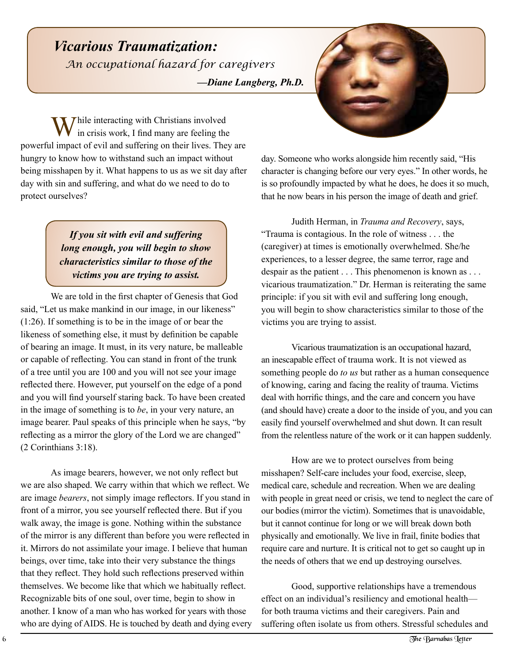# *Vicarious Traumatization: —Diane Langberg, Ph.D. An occupational hazard for caregivers*

**While interacting with Christians involved** in crisis work, I find many are feeling the powerful impact of evil and suffering on their lives. They are hungry to know how to withstand such an impact without being misshapen by it. What happens to us as we sit day after day with sin and suffering, and what do we need to do to protect ourselves?

> *If you sit with evil and suffering long enough, you will begin to show characteristics similar to those of the victims you are trying to assist.*

We are told in the first chapter of Genesis that God said, "Let us make mankind in our image, in our likeness" (1:26). If something is to be in the image of or bear the likeness of something else, it must by definition be capable of bearing an image. It must, in its very nature, be malleable or capable of reflecting. You can stand in front of the trunk of a tree until you are 100 and you will not see your image reflected there. However, put yourself on the edge of a pond and you will find yourself staring back. To have been created in the image of something is to *be*, in your very nature, an image bearer. Paul speaks of this principle when he says, "by reflecting as a mirror the glory of the Lord we are changed" (2 Corinthians 3:18).

As image bearers, however, we not only reflect but we are also shaped. We carry within that which we reflect. We are image *bearers*, not simply image reflectors. If you stand in front of a mirror, you see yourself reflected there. But if you walk away, the image is gone. Nothing within the substance of the mirror is any different than before you were reflected in it. Mirrors do not assimilate your image. I believe that human beings, over time, take into their very substance the things that they reflect. They hold such reflections preserved within themselves. We become like that which we habitually reflect. Recognizable bits of one soul, over time, begin to show in another. I know of a man who has worked for years with those who are dying of AIDS. He is touched by death and dying every day. Someone who works alongside him recently said, "His character is changing before our very eyes." In other words, he is so profoundly impacted by what he does, he does it so much, that he now bears in his person the image of death and grief.

Judith Herman, in *Trauma and Recovery*, says, "Trauma is contagious. In the role of witness . . . the (caregiver) at times is emotionally overwhelmed. She/he experiences, to a lesser degree, the same terror, rage and despair as the patient . . . This phenomenon is known as . . . vicarious traumatization." Dr. Herman is reiterating the same principle: if you sit with evil and suffering long enough, you will begin to show characteristics similar to those of the victims you are trying to assist.

Vicarious traumatization is an occupational hazard, an inescapable effect of trauma work. It is not viewed as something people do *to us* but rather as a human consequence of knowing, caring and facing the reality of trauma. Victims deal with horrific things, and the care and concern you have (and should have) create a door to the inside of you, and you can easily find yourself overwhelmed and shut down. It can result from the relentless nature of the work or it can happen suddenly.

How are we to protect ourselves from being misshapen? Self-care includes your food, exercise, sleep, medical care, schedule and recreation. When we are dealing with people in great need or crisis, we tend to neglect the care of our bodies (mirror the victim). Sometimes that is unavoidable, but it cannot continue for long or we will break down both physically and emotionally. We live in frail, finite bodies that require care and nurture. It is critical not to get so caught up in the needs of others that we end up destroying ourselves.

Good, supportive relationships have a tremendous effect on an individual's resiliency and emotional health for both trauma victims and their caregivers. Pain and suffering often isolate us from others. Stressful schedules and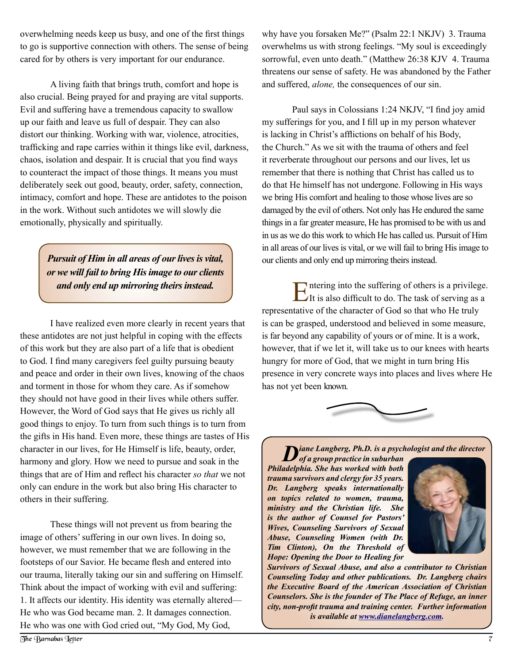overwhelming needs keep us busy, and one of the first things to go is supportive connection with others. The sense of being cared for by others is very important for our endurance.

A living faith that brings truth, comfort and hope is also crucial. Being prayed for and praying are vital supports. Evil and suffering have a tremendous capacity to swallow up our faith and leave us full of despair. They can also distort our thinking. Working with war, violence, atrocities, trafficking and rape carries within it things like evil, darkness, chaos, isolation and despair. It is crucial that you find ways to counteract the impact of those things. It means you must deliberately seek out good, beauty, order, safety, connection, intimacy, comfort and hope. These are antidotes to the poison in the work. Without such antidotes we will slowly die emotionally, physically and spiritually.

> *Pursuit of Him in all areas of our lives is vital, or we will fail to bring His image to our clients and only end up mirroring theirs instead.*

I have realized even more clearly in recent years that these antidotes are not just helpful in coping with the effects of this work but they are also part of a life that is obedient to God. I find many caregivers feel guilty pursuing beauty and peace and order in their own lives, knowing of the chaos and torment in those for whom they care. As if somehow they should not have good in their lives while others suffer. However, the Word of God says that He gives us richly all good things to enjoy. To turn from such things is to turn from the gifts in His hand. Even more, these things are tastes of His character in our lives, for He Himself is life, beauty, order, harmony and glory. How we need to pursue and soak in the things that are of Him and reflect his character *so that* we not only can endure in the work but also bring His character to others in their suffering.

These things will not prevent us from bearing the image of others' suffering in our own lives. In doing so, however, we must remember that we are following in the footsteps of our Savior. He became flesh and entered into our trauma, literally taking our sin and suffering on Himself. Think about the impact of working with evil and suffering: 1. It affects our identity. His identity was eternally altered— He who was God became man. 2. It damages connection. He who was one with God cried out, "My God, My God,

why have you forsaken Me?" (Psalm 22:1 NKJV) 3. Trauma overwhelms us with strong feelings. "My soul is exceedingly sorrowful, even unto death." (Matthew 26:38 KJV 4. Trauma threatens our sense of safety. He was abandoned by the Father and suffered, *alone,* the consequences of our sin.

Paul says in Colossians 1:24 NKJV, "I find joy amid my sufferings for you, and I fill up in my person whatever is lacking in Christ's afflictions on behalf of his Body, the Church." As we sit with the trauma of others and feel it reverberate throughout our persons and our lives, let us remember that there is nothing that Christ has called us to do that He himself has not undergone. Following in His ways we bring His comfort and healing to those whose lives are so damaged by the evil of others. Not only has He endured the same things in a far greater measure, He has promised to be with us and in us as we do this work to which He has called us. Pursuit of Him in all areas of our lives is vital, or we will fail to bring His image to our clients and only end up mirroring theirs instead.

Entering into the suffering of others is a privilege. It is also difficult to do. The task of serving as a representative of the character of God so that who He truly is can be grasped, understood and believed in some measure, is far beyond any capability of yours or of mine. It is a work, however, that if we let it, will take us to our knees with hearts hungry for more of God, that we might in turn bring His presence in very concrete ways into places and lives where He has not yet been known.



*Diane Langberg, Ph.D. is a psychologist and the director* 

*of a group practice in suburban Philadelphia. She has worked with both trauma survivors and clergy for 35 years. Dr. Langberg speaks internationally on topics related to women, trauma, ministry and the Christian life. She is the author of Counsel for Pastors' Wives, Counseling Survivors of Sexual Abuse, Counseling Women (with Dr. Tim Clinton), On the Threshold of Hope: Opening the Door to Healing for* 



*Survivors of Sexual Abuse, and also a contributor to Christian Counseling Today and other publications. Dr. Langberg chairs the Executive Board of the American Association of Christian Counselors. She is the founder of The Place of Refuge, an inner city, non-profit trauma and training center. Further information is available at www.dianelangberg.com.*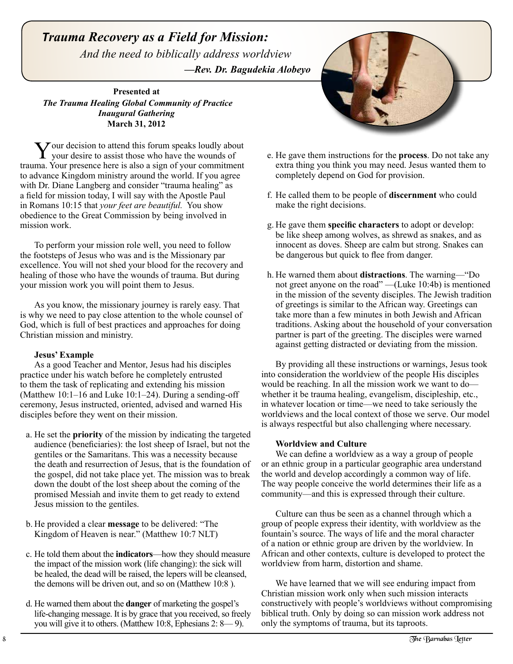*Trauma Recovery as a Field for Mission: And the need to biblically address worldview —Rev. Dr. Bagudekia Alobeyo*

**Presented at** *The Trauma Healing Global Community of Practice Inaugural Gathering* **March 31, 2012**

Your decision to attend this forum speaks loudly about your desire to assist those who have the wounds of trauma. Your presence here is also a sign of your commitment to advance Kingdom ministry around the world. If you agree with Dr. Diane Langberg and consider "trauma healing" as a field for mission today, I will say with the Apostle Paul in Romans 10:15 that *your feet are beautiful.* You show obedience to the Great Commission by being involved in mission work.

To perform your mission role well, you need to follow the footsteps of Jesus who was and is the Missionary par excellence. You will not shed your blood for the recovery and healing of those who have the wounds of trauma. But during your mission work you will point them to Jesus.

As you know, the missionary journey is rarely easy. That is why we need to pay close attention to the whole counsel of God, which is full of best practices and approaches for doing Christian mission and ministry.

#### **Jesus' Example**

As a good Teacher and Mentor, Jesus had his disciples practice under his watch before he completely entrusted to them the task of replicating and extending his mission (Matthew 10:1–16 and Luke 10:1–24). During a sending-off ceremony, Jesus instructed, oriented, advised and warned His disciples before they went on their mission.

- a. He set the **priority** of the mission by indicating the targeted audience (beneficiaries): the lost sheep of Israel, but not the gentiles or the Samaritans. This was a necessity because the death and resurrection of Jesus, that is the foundation of the gospel, did not take place yet. The mission was to break down the doubt of the lost sheep about the coming of the promised Messiah and invite them to get ready to extend Jesus mission to the gentiles.
- b. He provided a clear **message** to be delivered: "The Kingdom of Heaven is near." (Matthew 10:7 NLT)
- c. He told them about the **indicators**—how they should measure the impact of the mission work (life changing): the sick will be healed, the dead will be raised, the lepers will be cleansed, the demons will be driven out, and so on (Matthew 10:8 ).
- d. He warned them about the **danger** of marketing the gospel's life-changing message. It is by grace that you received, so freely you will give it to others. (Matthew 10:8, Ephesians 2: 8— 9).



- e. He gave them instructions for the **process**. Do not take any extra thing you think you may need. Jesus wanted them to completely depend on God for provision.
- f. He called them to be people of **discernment** who could make the right decisions.
- g. He gave them **specific characters** to adopt or develop: be like sheep among wolves, as shrewd as snakes, and as innocent as doves. Sheep are calm but strong. Snakes can be dangerous but quick to flee from danger.
- h. He warned them about **distractions**. The warning—"Do not greet anyone on the road" —(Luke 10:4b) is mentioned in the mission of the seventy disciples. The Jewish tradition of greetings is similar to the African way. Greetings can take more than a few minutes in both Jewish and African traditions. Asking about the household of your conversation partner is part of the greeting. The disciples were warned against getting distracted or deviating from the mission.

By providing all these instructions or warnings, Jesus took into consideration the worldview of the people His disciples would be reaching. In all the mission work we want to do whether it be trauma healing, evangelism, discipleship, etc., in whatever location or time—we need to take seriously the worldviews and the local context of those we serve. Our model is always respectful but also challenging where necessary.

#### **Worldview and Culture**

We can define a worldview as a way a group of people or an ethnic group in a particular geographic area understand the world and develop accordingly a common way of life. The way people conceive the world determines their life as a community—and this is expressed through their culture.

Culture can thus be seen as a channel through which a group of people express their identity, with worldview as the fountain's source. The ways of life and the moral character of a nation or ethnic group are driven by the worldview. In African and other contexts, culture is developed to protect the worldview from harm, distortion and shame.

We have learned that we will see enduring impact from Christian mission work only when such mission interacts constructively with people's worldviews without compromising biblical truth. Only by doing so can mission work address not only the symptoms of trauma, but its taproots.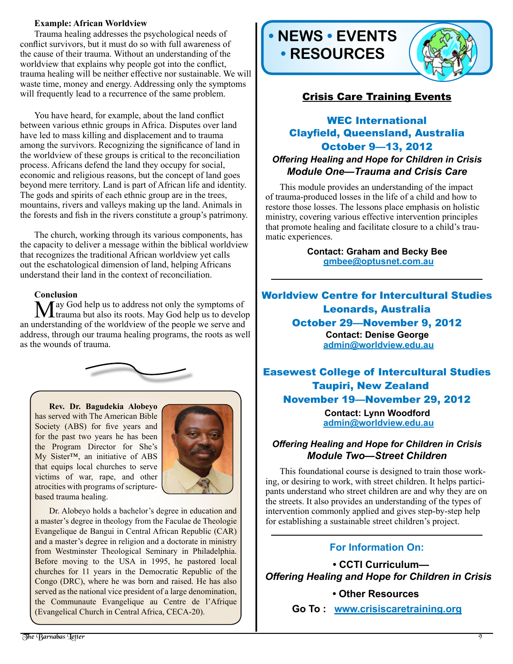#### **Example: African Worldview**

Trauma healing addresses the psychological needs of conflict survivors, but it must do so with full awareness of the cause of their trauma. Without an understanding of the worldview that explains why people got into the conflict, trauma healing will be neither effective nor sustainable. We will waste time, money and energy. Addressing only the symptoms will frequently lead to a recurrence of the same problem.

You have heard, for example, about the land conflict between various ethnic groups in Africa. Disputes over land have led to mass killing and displacement and to trauma among the survivors. Recognizing the significance of land in the worldview of these groups is critical to the reconciliation process. Africans defend the land they occupy for social, economic and religious reasons, but the concept of land goes beyond mere territory. Land is part of African life and identity. The gods and spirits of each ethnic group are in the trees, mountains, rivers and valleys making up the land. Animals in the forests and fish in the rivers constitute a group's patrimony.

The church, working through its various components, has the capacity to deliver a message within the biblical worldview that recognizes the traditional African worldview yet calls out the eschatological dimension of land, helping Africans understand their land in the context of reconciliation.

**Conclusion**<br>**N**  $\Lambda$  ay God help us to address not only the symptoms of May God help us to address not only the symptoms of trauma but also its roots. May God help us to develop an understanding of the worldview of the people we serve and address, through our trauma healing programs, the roots as well as the wounds of trauma.



**Rev. Dr. Bagudekia Alobeyo**  has served with The American Bible Society (ABS) for five years and for the past two years he has been the Program Director for She's My Sister™, an initiative of ABS that equips local churches to serve victims of war, rape, and other atrocities with programs of scripturebased trauma healing.



Dr. Alobeyo holds a bachelor's degree in education and a master's degree in theology from the Faculae de Theologie Evangelique de Bangui in Central African Republic (CAR) and a master's degree in religion and a doctorate in ministry from Westminster Theological Seminary in Philadelphia. Before moving to the USA in 1995, he pastored local churches for 11 years in the Democratic Republic of the Congo (DRC), where he was born and raised. He has also served as the national vice president of a large denomination, the Communaute Evangelique au Centre de l'Afrique (Evangelical Church in Central Africa, CECA-20).





# Crisis Care Training Events

## WEC International Clayfield, Queensland, Australia October 9—13, 2012 *Offering Healing and Hope for Children in Crisis Module One—Trauma and Crisis Care*

This module provides an understanding of the impact of trauma-produced losses in the life of a child and how to restore those losses. The lessons place emphasis on holistic ministry, covering various effective intervention principles that promote healing and facilitate closure to a child's traumatic experiences.

> **Contact: Graham and Becky Bee gmbee@optusnet.com.au**

## Worldview Centre for Intercultural Studies Leonards, Australia October 29—November 9, 2012 **Contact: Denise George admin@worldview.edu.au**

Easewest College of Intercultural Studies Taupiri, New Zealand November 19—November 29, 2012 **Contact: Lynn Woodford admin@worldview.edu.au**

#### *Offering Healing and Hope for Children in Crisis Module Two—Street Children*

This foundational course is designed to train those working, or desiring to work, with street children. It helps participants understand who street children are and why they are on the streets. It also provides an understanding of the types of intervention commonly applied and gives step-by-step help for establishing a sustainable street children's project.

#### **For Information On:**

 **• CCTI Curriculum—**  *Offering Healing and Hope for Children in Crisis*

#### **• Other Resources**

**Go To : www.crisiscaretraining.org**